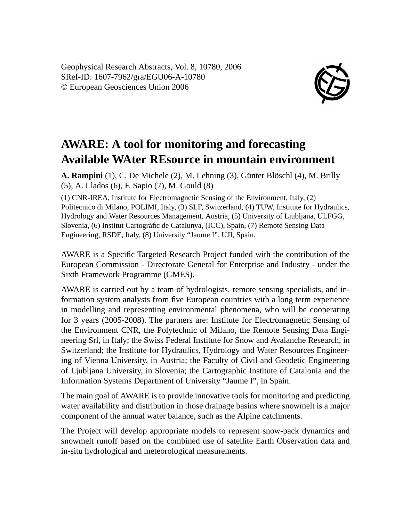Geophysical Research Abstracts, Vol. 8, 10780, 2006 SRef-ID: 1607-7962/gra/EGU06-A-10780 © European Geosciences Union 2006



## **AWARE: A tool for monitoring and forecasting Available WAter REsource in mountain environment**

**A. Rampini** (1), C. De Michele (2), M. Lehning (3), Günter Blöschl (4), M. Brilly (5), A. Llados (6), F. Sapio (7), M. Gould (8)

(1) CNR-IREA, Institute for Electromagnetic Sensing of the Environment, Italy, (2) Politecnico di Milano, POLIMI, Italy, (3) SLF, Switzerland, (4) TUW, Institute for Hydraulics, Hydrology and Water Resources Management, Austria, (5) University of Ljubljana, ULFGG, Slovenia, (6) Institut Cartogràfic de Catalunya, (ICC), Spain, (7) Remote Sensing Data Engineering, RSDE, Italy, (8) University "Jaume I", UJI, Spain.

AWARE is a Specific Targeted Research Project funded with the contribution of the European Commission - Directorate General for Enterprise and Industry - under the Sixth Framework Programme (GMES).

AWARE is carried out by a team of hydrologists, remote sensing specialists, and information system analysts from five European countries with a long term experience in modelling and representing environmental phenomena, who will be cooperating for 3 years (2005-2008). The partners are: Institute for Electromagnetic Sensing of the Environment CNR, the Polytechnic of Milano, the Remote Sensing Data Engineering Srl, in Italy; the Swiss Federal Institute for Snow and Avalanche Research, in Switzerland; the Institute for Hydraulics, Hydrology and Water Resources Engineering of Vienna University, in Austria; the Faculty of Civil and Geodetic Engineering of Ljubljana University, in Slovenia; the Cartographic Institute of Catalonia and the Information Systems Department of University "Jaume I", in Spain.

The main goal of AWARE is to provide innovative tools for monitoring and predicting water availability and distribution in those drainage basins where snowmelt is a major component of the annual water balance, such as the Alpine catchments.

The Project will develop appropriate models to represent snow-pack dynamics and snowmelt runoff based on the combined use of satellite Earth Observation data and in-situ hydrological and meteorological measurements.